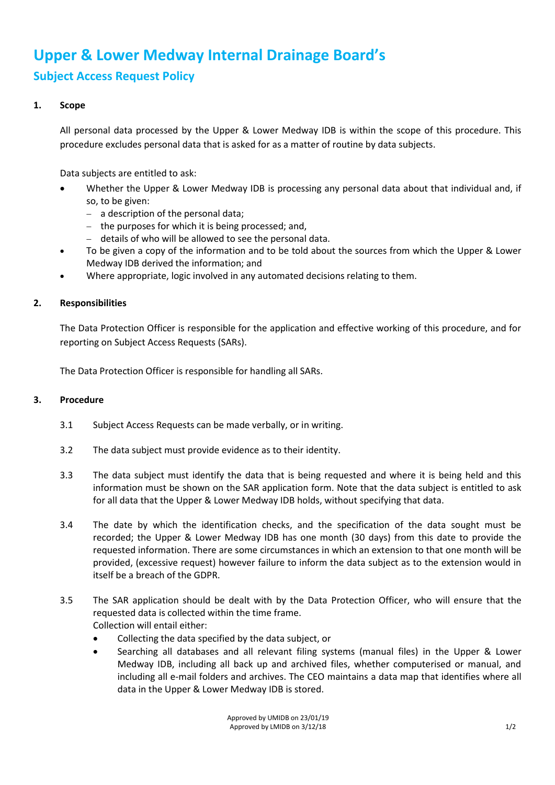## **Upper & Lower Medway Internal Drainage Board's Subject Access Request Policy**

## **1. Scope**

All personal data processed by the Upper & Lower Medway IDB is within the scope of this procedure. This procedure excludes personal data that is asked for as a matter of routine by data subjects.

Data subjects are entitled to ask:

- Whether the Upper & Lower Medway IDB is processing any personal data about that individual and, if so, to be given:
	- − a description of the personal data;
	- − the purposes for which it is being processed; and,
	- − details of who will be allowed to see the personal data.
- To be given a copy of the information and to be told about the sources from which the Upper & Lower Medway IDB derived the information; and
- Where appropriate, logic involved in any automated decisions relating to them.

## **2. Responsibilities**

The Data Protection Officer is responsible for the application and effective working of this procedure, and for reporting on Subject Access Requests (SARs).

The Data Protection Officer is responsible for handling all SARs.

## **3. Procedure**

- 3.1 Subject Access Requests can be made verbally, or in writing.
- 3.2 The data subject must provide evidence as to their identity.
- 3.3 The data subject must identify the data that is being requested and where it is being held and this information must be shown on the SAR application form. Note that the data subject is entitled to ask for all data that the Upper & Lower Medway IDB holds, without specifying that data.
- 3.4 The date by which the identification checks, and the specification of the data sought must be recorded; the Upper & Lower Medway IDB has one month (30 days) from this date to provide the requested information. There are some circumstances in which an extension to that one month will be provided, (excessive request) however failure to inform the data subject as to the extension would in itself be a breach of the GDPR.
- 3.5 The SAR application should be dealt with by the Data Protection Officer, who will ensure that the requested data is collected within the time frame. Collection will entail either:
	- Collecting the data specified by the data subject, or
	- Searching all databases and all relevant filing systems (manual files) in the Upper & Lower Medway IDB, including all back up and archived files, whether computerised or manual, and including all e-mail folders and archives. The CEO maintains a data map that identifies where all data in the Upper & Lower Medway IDB is stored.